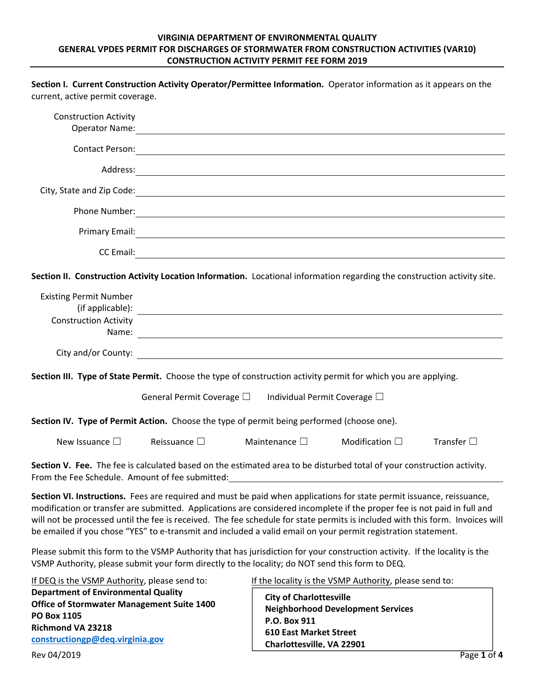## **VIRGINIA DEPARTMENT OF ENVIRONMENTAL QUALITY GENERAL VPDES PERMIT FOR DISCHARGES OF STORMWATER FROM CONSTRUCTION ACTIVITIES (VAR10) CONSTRUCTION ACTIVITY PERMIT FEE FORM 2019**

Section I. Current Construction Activity Operator/Permittee Information. Operator information as it appears on the

| current, active permit coverage.                                                                                                                                                                                                      |                                                                                                                                                                                                                                                                                                                                                                                                                                                                                                     |                                                                                                              |                                                                                                    |                    |
|---------------------------------------------------------------------------------------------------------------------------------------------------------------------------------------------------------------------------------------|-----------------------------------------------------------------------------------------------------------------------------------------------------------------------------------------------------------------------------------------------------------------------------------------------------------------------------------------------------------------------------------------------------------------------------------------------------------------------------------------------------|--------------------------------------------------------------------------------------------------------------|----------------------------------------------------------------------------------------------------|--------------------|
| <b>Construction Activity</b><br><b>Operator Name:</b>                                                                                                                                                                                 |                                                                                                                                                                                                                                                                                                                                                                                                                                                                                                     |                                                                                                              |                                                                                                    |                    |
|                                                                                                                                                                                                                                       |                                                                                                                                                                                                                                                                                                                                                                                                                                                                                                     |                                                                                                              |                                                                                                    |                    |
|                                                                                                                                                                                                                                       |                                                                                                                                                                                                                                                                                                                                                                                                                                                                                                     |                                                                                                              |                                                                                                    |                    |
|                                                                                                                                                                                                                                       | City, State and Zip Code: 1988. The Collection of the Collection of the Collection of the Collection of the Collection of the Collection of the Collection of the Collection of the Collection of the Collection of the Collec                                                                                                                                                                                                                                                                      |                                                                                                              |                                                                                                    |                    |
|                                                                                                                                                                                                                                       |                                                                                                                                                                                                                                                                                                                                                                                                                                                                                                     |                                                                                                              |                                                                                                    |                    |
|                                                                                                                                                                                                                                       |                                                                                                                                                                                                                                                                                                                                                                                                                                                                                                     |                                                                                                              |                                                                                                    |                    |
|                                                                                                                                                                                                                                       |                                                                                                                                                                                                                                                                                                                                                                                                                                                                                                     |                                                                                                              |                                                                                                    |                    |
|                                                                                                                                                                                                                                       | Section II. Construction Activity Location Information. Locational information regarding the construction activity site.                                                                                                                                                                                                                                                                                                                                                                            |                                                                                                              |                                                                                                    |                    |
| <b>Existing Permit Number</b>                                                                                                                                                                                                         |                                                                                                                                                                                                                                                                                                                                                                                                                                                                                                     |                                                                                                              |                                                                                                    |                    |
| <b>Construction Activity</b>                                                                                                                                                                                                          | $($ if applicable $)$ : $\qquad \qquad$                                                                                                                                                                                                                                                                                                                                                                                                                                                             |                                                                                                              |                                                                                                    |                    |
|                                                                                                                                                                                                                                       |                                                                                                                                                                                                                                                                                                                                                                                                                                                                                                     |                                                                                                              |                                                                                                    |                    |
|                                                                                                                                                                                                                                       |                                                                                                                                                                                                                                                                                                                                                                                                                                                                                                     |                                                                                                              |                                                                                                    |                    |
|                                                                                                                                                                                                                                       | Section III. Type of State Permit. Choose the type of construction activity permit for which you are applying.                                                                                                                                                                                                                                                                                                                                                                                      |                                                                                                              |                                                                                                    |                    |
|                                                                                                                                                                                                                                       | General Permit Coverage $\square$ Individual Permit Coverage $\square$                                                                                                                                                                                                                                                                                                                                                                                                                              |                                                                                                              |                                                                                                    |                    |
|                                                                                                                                                                                                                                       | Section IV. Type of Permit Action. Choose the type of permit being performed (choose one).                                                                                                                                                                                                                                                                                                                                                                                                          |                                                                                                              |                                                                                                    |                    |
| New Issuance $\square$                                                                                                                                                                                                                | Reissuance $\square$                                                                                                                                                                                                                                                                                                                                                                                                                                                                                | Maintenance $\square$                                                                                        | Modification $\square$                                                                             | Transfer $\square$ |
| From the Fee Schedule. Amount of fee submitted:                                                                                                                                                                                       | Section V. Fee. The fee is calculated based on the estimated area to be disturbed total of your construction activity.                                                                                                                                                                                                                                                                                                                                                                              |                                                                                                              |                                                                                                    |                    |
|                                                                                                                                                                                                                                       | Section VI. Instructions. Fees are required and must be paid when applications for state permit issuance, reissuance,<br>modification or transfer are submitted. Applications are considered incomplete if the proper fee is not paid in full and<br>will not be processed until the fee is received. The fee schedule for state permits is included with this form. Invoices will<br>be emailed if you chose "YES" to e-transmit and included a valid email on your permit registration statement. |                                                                                                              |                                                                                                    |                    |
|                                                                                                                                                                                                                                       | Please submit this form to the VSMP Authority that has jurisdiction for your construction activity. If the locality is the<br>VSMP Authority, please submit your form directly to the locality; do NOT send this form to DEQ.                                                                                                                                                                                                                                                                       |                                                                                                              |                                                                                                    |                    |
| If DEQ is the VSMP Authority, please send to:<br><b>Department of Environmental Quality</b><br><b>Office of Stormwater Management Suite 1400</b><br><b>PO Box 1105</b><br><b>Richmond VA 23218</b><br>constructiongp@deq.virginia.gov |                                                                                                                                                                                                                                                                                                                                                                                                                                                                                                     | <b>City of Charlottesville</b><br>P.O. Box 911<br><b>610 East Market Street</b><br>Charlottesville. VA 22901 | If the locality is the VSMP Authority, please send to:<br><b>Neighborhood Development Services</b> |                    |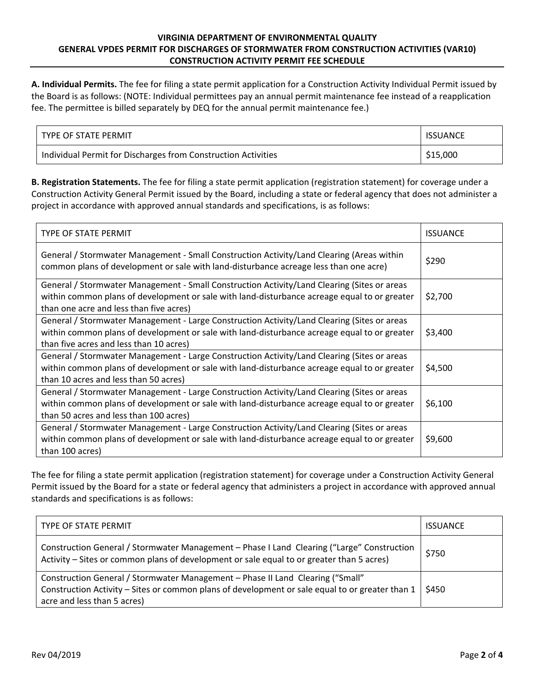## **VIRGINIA DEPARTMENT OF ENVIRONMENTAL QUALITY GENERAL VPDES PERMIT FOR DISCHARGES OF STORMWATER FROM CONSTRUCTION ACTIVITIES (VAR10) CONSTRUCTION ACTIVITY PERMIT FEE SCHEDULE**

**A. Individual Permits.** The fee for filing a state permit application for a Construction Activity Individual Permit issued by the Board is as follows: (NOTE: Individual permittees pay an annual permit maintenance fee instead of a reapplication fee. The permittee is billed separately by DEQ for the annual permit maintenance fee.)

| TYPE OF STATE PERMIT                                          | <b>ISSUANCE</b> |
|---------------------------------------------------------------|-----------------|
| Individual Permit for Discharges from Construction Activities | \$15,000        |

**B. Registration Statements.** The fee for filing a state permit application (registration statement) for coverage under a Construction Activity General Permit issued by the Board, including a state or federal agency that does not administer a project in accordance with approved annual standards and specifications, is as follows:

| TYPE OF STATE PERMIT                                                                                                                                                                                                                   | <b>ISSUANCE</b> |
|----------------------------------------------------------------------------------------------------------------------------------------------------------------------------------------------------------------------------------------|-----------------|
| General / Stormwater Management - Small Construction Activity/Land Clearing (Areas within<br>common plans of development or sale with land-disturbance acreage less than one acre)                                                     | \$290           |
| General / Stormwater Management - Small Construction Activity/Land Clearing (Sites or areas<br>within common plans of development or sale with land-disturbance acreage equal to or greater<br>than one acre and less than five acres) | \$2,700         |
| General / Stormwater Management - Large Construction Activity/Land Clearing (Sites or areas<br>within common plans of development or sale with land-disturbance acreage equal to or greater<br>than five acres and less than 10 acres) | \$3,400         |
| General / Stormwater Management - Large Construction Activity/Land Clearing (Sites or areas<br>within common plans of development or sale with land-disturbance acreage equal to or greater<br>than 10 acres and less than 50 acres)   | \$4,500         |
| General / Stormwater Management - Large Construction Activity/Land Clearing (Sites or areas<br>within common plans of development or sale with land-disturbance acreage equal to or greater<br>than 50 acres and less than 100 acres)  | \$6,100         |
| General / Stormwater Management - Large Construction Activity/Land Clearing (Sites or areas<br>within common plans of development or sale with land-disturbance acreage equal to or greater<br>than 100 acres)                         | \$9,600         |

The fee for filing a state permit application (registration statement) for coverage under a Construction Activity General Permit issued by the Board for a state or federal agency that administers a project in accordance with approved annual standards and specifications is as follows:

| TYPE OF STATE PERMIT                                                                                                                                                                                             | <b>ISSUANCE</b> |
|------------------------------------------------------------------------------------------------------------------------------------------------------------------------------------------------------------------|-----------------|
| Construction General / Stormwater Management - Phase I Land Clearing ("Large" Construction<br>Activity - Sites or common plans of development or sale equal to or greater than 5 acres)                          | \$750           |
| Construction General / Stormwater Management - Phase II Land Clearing ("Small"<br>Construction Activity - Sites or common plans of development or sale equal to or greater than 1<br>acre and less than 5 acres) | \$450           |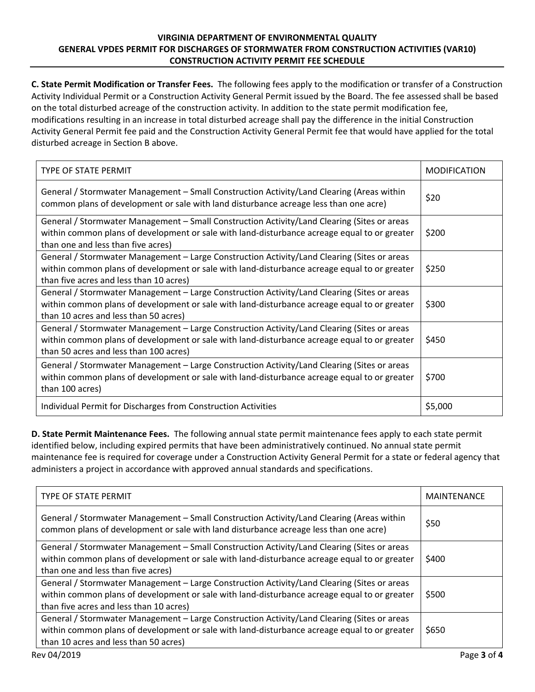## **VIRGINIA DEPARTMENT OF ENVIRONMENTAL QUALITY GENERAL VPDES PERMIT FOR DISCHARGES OF STORMWATER FROM CONSTRUCTION ACTIVITIES (VAR10) CONSTRUCTION ACTIVITY PERMIT FEE SCHEDULE**

**C. State Permit Modification or Transfer Fees.** The following fees apply to the modification or transfer of a Construction Activity Individual Permit or a Construction Activity General Permit issued by the Board. The fee assessed shall be based on the total disturbed acreage of the construction activity. In addition to the state permit modification fee, modifications resulting in an increase in total disturbed acreage shall pay the difference in the initial Construction Activity General Permit fee paid and the Construction Activity General Permit fee that would have applied for the total disturbed acreage in Section B above.

| <b>TYPE OF STATE PERMIT</b>                                                                                                                                                                                                            | <b>MODIFICATION</b> |
|----------------------------------------------------------------------------------------------------------------------------------------------------------------------------------------------------------------------------------------|---------------------|
| General / Stormwater Management – Small Construction Activity/Land Clearing (Areas within<br>common plans of development or sale with land disturbance acreage less than one acre)                                                     | \$20                |
| General / Stormwater Management - Small Construction Activity/Land Clearing (Sites or areas<br>within common plans of development or sale with land-disturbance acreage equal to or greater<br>than one and less than five acres)      | \$200               |
| General / Stormwater Management – Large Construction Activity/Land Clearing (Sites or areas<br>within common plans of development or sale with land-disturbance acreage equal to or greater<br>than five acres and less than 10 acres) | \$250               |
| General / Stormwater Management - Large Construction Activity/Land Clearing (Sites or areas<br>within common plans of development or sale with land-disturbance acreage equal to or greater<br>than 10 acres and less than 50 acres)   | \$300               |
| General / Stormwater Management – Large Construction Activity/Land Clearing (Sites or areas<br>within common plans of development or sale with land-disturbance acreage equal to or greater<br>than 50 acres and less than 100 acres)  | \$450               |
| General / Stormwater Management - Large Construction Activity/Land Clearing (Sites or areas<br>within common plans of development or sale with land-disturbance acreage equal to or greater<br>than 100 acres)                         | \$700               |
| Individual Permit for Discharges from Construction Activities                                                                                                                                                                          | \$5,000             |

**D. State Permit Maintenance Fees.** The following annual state permit maintenance fees apply to each state permit identified below, including expired permits that have been administratively continued. No annual state permit maintenance fee is required for coverage under a Construction Activity General Permit for a state or federal agency that administers a project in accordance with approved annual standards and specifications.

| TYPE OF STATE PERMIT                                                                                                                                                                                                                   | <b>MAINTENANCE</b> |
|----------------------------------------------------------------------------------------------------------------------------------------------------------------------------------------------------------------------------------------|--------------------|
| General / Stormwater Management – Small Construction Activity/Land Clearing (Areas within<br>common plans of development or sale with land disturbance acreage less than one acre)                                                     | \$50               |
| General / Stormwater Management – Small Construction Activity/Land Clearing (Sites or areas<br>within common plans of development or sale with land-disturbance acreage equal to or greater<br>than one and less than five acres)      | \$400              |
| General / Stormwater Management - Large Construction Activity/Land Clearing (Sites or areas<br>within common plans of development or sale with land-disturbance acreage equal to or greater<br>than five acres and less than 10 acres) | \$500              |
| General / Stormwater Management – Large Construction Activity/Land Clearing (Sites or areas<br>within common plans of development or sale with land-disturbance acreage equal to or greater<br>than 10 acres and less than 50 acres)   | \$650              |